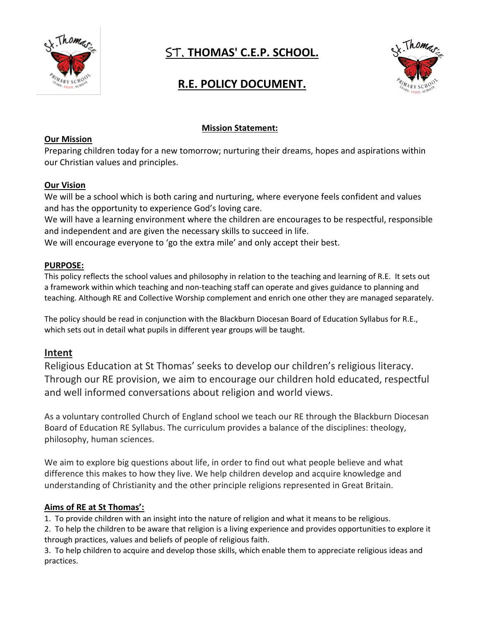

# ST. **THOMAS' C.E.P. SCHOOL.**



## **R.E. POLICY DOCUMENT.**

## **Mission Statement:**

#### **Our Mission**

Preparing children today for a new tomorrow; nurturing their dreams, hopes and aspirations within our Christian values and principles.

#### **Our Vision**

We will be a school which is both caring and nurturing, where everyone feels confident and values and has the opportunity to experience God's loving care.

We will have a learning environment where the children are encourages to be respectful, responsible and independent and are given the necessary skills to succeed in life.

We will encourage everyone to 'go the extra mile' and only accept their best.

#### **PURPOSE:**

This policy reflects the school values and philosophy in relation to the teaching and learning of R.E. It sets out a framework within which teaching and non-teaching staff can operate and gives guidance to planning and teaching. Although RE and Collective Worship complement and enrich one other they are managed separately.

The policy should be read in conjunction with the Blackburn Diocesan Board of Education Syllabus for R.E., which sets out in detail what pupils in different year groups will be taught.

## **Intent**

Religious Education at St Thomas' seeks to develop our children's religious literacy. Through our RE provision, we aim to encourage our children hold educated, respectful and well informed conversations about religion and world views.

As a voluntary controlled Church of England school we teach our RE through the Blackburn Diocesan Board of Education RE Syllabus. The curriculum provides a balance of the disciplines: theology, philosophy, human sciences.

We aim to explore big questions about life, in order to find out what people believe and what difference this makes to how they live. We help children develop and acquire knowledge and understanding of Christianity and the other principle religions represented in Great Britain.

#### **Aims of RE at St Thomas':**

1. To provide children with an insight into the nature of religion and what it means to be religious.

2. To help the children to be aware that religion is a living experience and provides opportunities to explore it through practices, values and beliefs of people of religious faith.

3. To help children to acquire and develop those skills, which enable them to appreciate religious ideas and practices.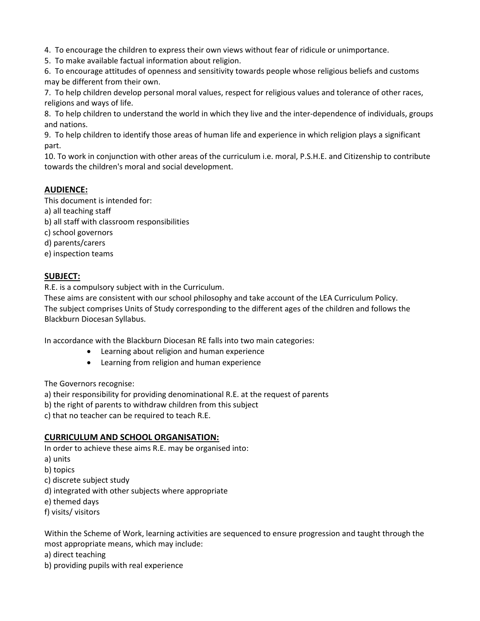4. To encourage the children to express their own views without fear of ridicule or unimportance.

5. To make available factual information about religion.

6. To encourage attitudes of openness and sensitivity towards people whose religious beliefs and customs may be different from their own.

7. To help children develop personal moral values, respect for religious values and tolerance of other races, religions and ways of life.

8. To help children to understand the world in which they live and the inter-dependence of individuals, groups and nations.

9. To help children to identify those areas of human life and experience in which religion plays a significant part.

10. To work in conjunction with other areas of the curriculum i.e. moral, P.S.H.E. and Citizenship to contribute towards the children's moral and social development.

#### **AUDIENCE:**

This document is intended for:

- a) all teaching staff
- b) all staff with classroom responsibilities
- c) school governors
- d) parents/carers
- e) inspection teams

#### **SUBJECT:**

R.E. is a compulsory subject with in the Curriculum.

These aims are consistent with our school philosophy and take account of the LEA Curriculum Policy. The subject comprises Units of Study corresponding to the different ages of the children and follows the Blackburn Diocesan Syllabus.

In accordance with the Blackburn Diocesan RE falls into two main categories:

- Learning about religion and human experience
- Learning from religion and human experience

The Governors recognise:

a) their responsibility for providing denominational R.E. at the request of parents

b) the right of parents to withdraw children from this subject

c) that no teacher can be required to teach R.E.

#### **CURRICULUM AND SCHOOL ORGANISATION:**

In order to achieve these aims R.E. may be organised into:

- a) units
- b) topics
- c) discrete subject study
- d) integrated with other subjects where appropriate
- e) themed days
- f) visits/ visitors

Within the Scheme of Work, learning activities are sequenced to ensure progression and taught through the most appropriate means, which may include:

a) direct teaching

b) providing pupils with real experience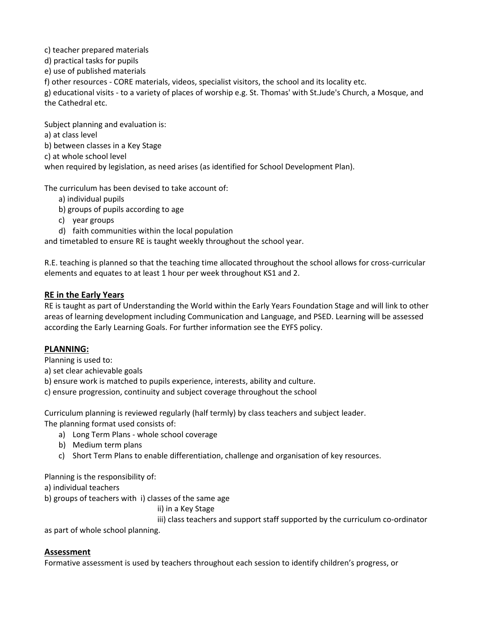c) teacher prepared materials

d) practical tasks for pupils

e) use of published materials

f) other resources - CORE materials, videos, specialist visitors, the school and its locality etc.

g) educational visits - to a variety of places of worship e.g. St. Thomas' with St.Jude's Church, a Mosque, and the Cathedral etc.

Subject planning and evaluation is: a) at class level b) between classes in a Key Stage c) at whole school level when required by legislation, as need arises (as identified for School Development Plan).

The curriculum has been devised to take account of:

- a) individual pupils
- b) groups of pupils according to age
- c) year groups
- d) faith communities within the local population

and timetabled to ensure RE is taught weekly throughout the school year.

R.E. teaching is planned so that the teaching time allocated throughout the school allows for cross-curricular elements and equates to at least 1 hour per week throughout KS1 and 2.

#### **RE in the Early Years**

RE is taught as part of Understanding the World within the Early Years Foundation Stage and will link to other areas of learning development including Communication and Language, and PSED. Learning will be assessed according the Early Learning Goals. For further information see the EYFS policy.

## **PLANNING:**

Planning is used to:

a) set clear achievable goals

b) ensure work is matched to pupils experience, interests, ability and culture.

c) ensure progression, continuity and subject coverage throughout the school

Curriculum planning is reviewed regularly (half termly) by class teachers and subject leader. The planning format used consists of:

- a) Long Term Plans whole school coverage
- b) Medium term plans
- c) Short Term Plans to enable differentiation, challenge and organisation of key resources.

Planning is the responsibility of:

a) individual teachers

b) groups of teachers with i) classes of the same age

ii) in a Key Stage

iii) class teachers and support staff supported by the curriculum co-ordinator

as part of whole school planning.

#### **Assessment**

Formative assessment is used by teachers throughout each session to identify children's progress, or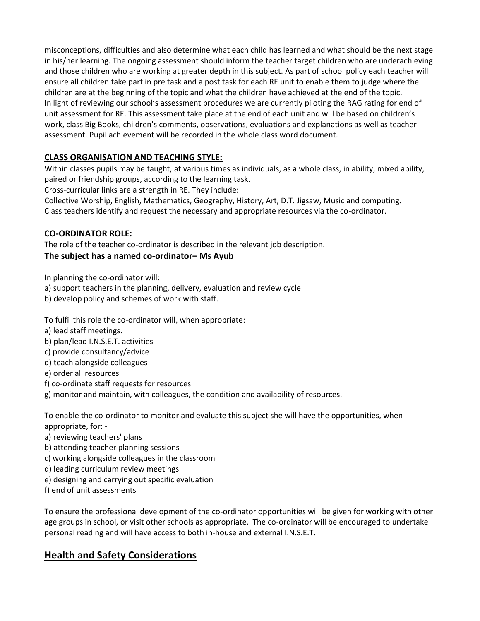misconceptions, difficulties and also determine what each child has learned and what should be the next stage in his/her learning. The ongoing assessment should inform the teacher target children who are underachieving and those children who are working at greater depth in this subject. As part of school policy each teacher will ensure all children take part in pre task and a post task for each RE unit to enable them to judge where the children are at the beginning of the topic and what the children have achieved at the end of the topic. In light of reviewing our school's assessment procedures we are currently piloting the RAG rating for end of unit assessment for RE. This assessment take place at the end of each unit and will be based on children's work, class Big Books, children's comments, observations, evaluations and explanations as well as teacher assessment. Pupil achievement will be recorded in the whole class word document.

## **CLASS ORGANISATION AND TEACHING STYLE:**

Within classes pupils may be taught, at various times as individuals, as a whole class, in ability, mixed ability, paired or friendship groups, according to the learning task.

Cross-curricular links are a strength in RE. They include:

Collective Worship, English, Mathematics, Geography, History, Art, D.T. Jigsaw, Music and computing. Class teachers identify and request the necessary and appropriate resources via the co-ordinator.

#### **CO-ORDINATOR ROLE:**

The role of the teacher co-ordinator is described in the relevant job description. **The subject has a named co-ordinator– Ms Ayub**

In planning the co-ordinator will:

- a) support teachers in the planning, delivery, evaluation and review cycle
- b) develop policy and schemes of work with staff.

To fulfil this role the co-ordinator will, when appropriate:

- a) lead staff meetings.
- b) plan/lead I.N.S.E.T. activities
- c) provide consultancy/advice
- d) teach alongside colleagues
- e) order all resources
- f) co-ordinate staff requests for resources
- g) monitor and maintain, with colleagues, the condition and availability of resources.

To enable the co-ordinator to monitor and evaluate this subject she will have the opportunities, when appropriate, for: -

- a) reviewing teachers' plans
- b) attending teacher planning sessions
- c) working alongside colleagues in the classroom
- d) leading curriculum review meetings
- e) designing and carrying out specific evaluation
- f) end of unit assessments

To ensure the professional development of the co-ordinator opportunities will be given for working with other age groups in school, or visit other schools as appropriate. The co-ordinator will be encouraged to undertake personal reading and will have access to both in-house and external I.N.S.E.T.

## **Health and Safety Considerations**